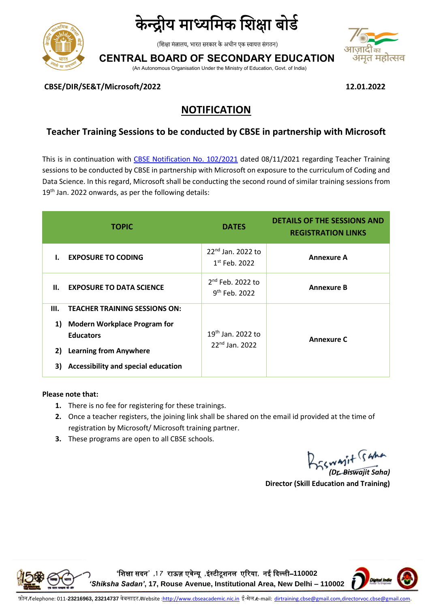

# केन्द्रीय माध्यमिक शिक्षा बोर्ड

(शिक्षा मंत्रालय, भारत सरकार के अधीन एक स्वायत्त संगठन)

**CENTRAL BOARD OF SECONDARY EDUCATION**

(An Autonomous Organisation Under the Ministry of Education, Govt. of India)



**CBSE/DIR/SE&T/Microsoft/2022 12.01.2022**

# **NOTIFICATION**

## **Teacher Training Sessions to be conducted by CBSE in partnership with Microsoft**

This is in continuation with [CBSE Notification No.](https://cbseacademic.nic.in/web_material/Notifications/2021/102_Notification_2021.pdf) 102/2021 dated 08/11/2021 regarding Teacher Training sessions to be conducted by CBSE in partnership with Microsoft on exposure to the curriculum of Coding and Data Science. In this regard, Microsoft shall be conducting the second round of similar training sessions from 19<sup>th</sup> Jan. 2022 onwards, as per the following details:

|                | <b>TOPIC</b>                                                                                                                                                               | <b>DATES</b>                                     | <b>DETAILS OF THE SESSIONS AND</b><br><b>REGISTRATION LINKS</b> |
|----------------|----------------------------------------------------------------------------------------------------------------------------------------------------------------------------|--------------------------------------------------|-----------------------------------------------------------------|
|                | <b>EXPOSURE TO CODING</b>                                                                                                                                                  | 22 <sup>nd</sup> Jan. 2022 to<br>$1st$ Feb. 2022 | <b>Annexure A</b>                                               |
| Н.             | <b>EXPOSURE TO DATA SCIENCE</b>                                                                                                                                            | 2 <sup>nd</sup> Feb. 2022 to<br>$9th$ Feb. 2022  | <b>Annexure B</b>                                               |
| Ш.<br>1)<br>3) | <b>TEACHER TRAINING SESSIONS ON:</b><br><b>Modern Workplace Program for</b><br><b>Educators</b><br>2) Learning from Anywhere<br><b>Accessibility and special education</b> | $19th$ Jan. 2022 to<br>$22^{nd}$ Jan. 2022       | <b>Annexure C</b>                                               |

#### **Please note that:**

- **1.** There is no fee for registering for these trainings.
- **2.** Once a teacher registers, the joining link shall be shared on the email id provided at the time of registration by Microsoft/ Microsoft training partner.
- **3.** These programs are open to all CBSE schools.

*(Dr. Biswajit Saha)*

**Director (Skill Education and Training)**



**'**शिक्षा सदन**' ,1 7** राऊज़ एवेन्यू **,**इंस्टीटूिनल एररया**,** नई ददल्ली–**110002** 

*'Shiksha Sadan'***, 17, Rouse Avenue, Institutional Area, New Delhi – 110002**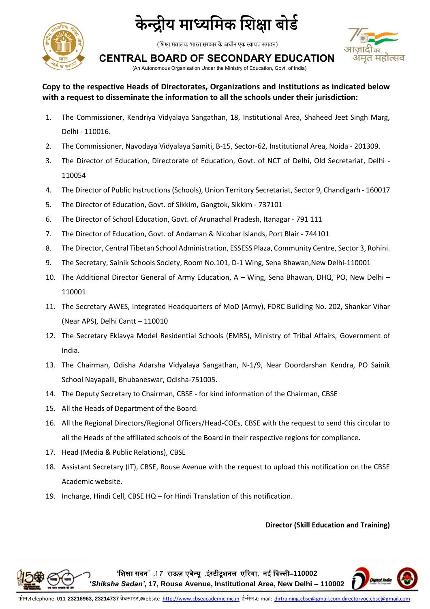

# केन्द्रीय माध्यमिक शिक्षा बोर्ड

(शिक्षा मंत्रालय, भारत सरकार के अधीन एक स्वायत्त संगठन)



**CENTRAL BOARD OF SECONDARY EDUCATION**

(An Autonomous Organisation Under the Ministry of Education, Govt. of India)

## **Copy to the respective Heads of Directorates, Organizations and Institutions as indicated below with a request to disseminate the information to all the schools under their jurisdiction:**

- 1. The Commissioner, Kendriya Vidyalaya Sangathan, 18, Institutional Area, Shaheed Jeet Singh Marg, Delhi - 110016.
- 2. The Commissioner, Navodaya Vidyalaya Samiti, B-15, Sector-62, Institutional Area, Noida 201309.
- 3. The Director of Education, Directorate of Education, Govt. of NCT of Delhi, Old Secretariat, Delhi 110054
- 4. The Director of Public Instructions (Schools), Union Territory Secretariat, Sector 9, Chandigarh 160017
- 5. The Director of Education, Govt. of Sikkim, Gangtok, Sikkim 737101
- 6. The Director of School Education, Govt. of Arunachal Pradesh, Itanagar 791 111
- 7. The Director of Education, Govt. of Andaman & Nicobar Islands, Port Blair 744101
- 8. The Director, Central Tibetan School Administration, ESSESS Plaza, Community Centre, Sector 3, Rohini.
- 9. The Secretary, Sainik Schools Society, Room No.101, D-1 Wing, Sena Bhawan, New Delhi-110001
- 10. The Additional Director General of Army Education, A Wing, Sena Bhawan, DHQ, PO, New Delhi 110001
- 11. The Secretary AWES, Integrated Headquarters of MoD (Army), FDRC Building No. 202, Shankar Vihar (Near APS), Delhi Cantt – 110010
- 12. The Secretary Eklavya Model Residential Schools (EMRS), Ministry of Tribal Affairs, Government of India.
- 13. The Chairman, Odisha Adarsha Vidyalaya Sangathan, N-1/9, Near Doordarshan Kendra, PO Sainik School Nayapalli, Bhubaneswar, Odisha-751005.
- 14. The Deputy Secretary to Chairman, CBSE for kind information of the Chairman, CBSE
- 15. All the Heads of Department of the Board.
- 16. All the Regional Directors/Regional Officers/Head-COEs, CBSE with the request to send this circular to all the Heads of the affiliated schools of the Board in their respective regions for compliance.
- 17. Head (Media & Public Relations), CBSE
- 18. Assistant Secretary (IT), CBSE, Rouse Avenue with the request to upload this notification on the CBSE Academic website.
- 19. Incharge, Hindi Cell, CBSE HQ for Hindi Translation of this notification.

#### **Director (Skill Education and Training)**

**'**शिक्षा सदन**' ,1 7** राऊज़ एवेन्यू **,**इंस्टीटूिनल एररया**,** नई ददल्ली–**110002**  *'Shiksha Sadan'***, 17, Rouse Avenue, Institutional Area, New Delhi – 110002**

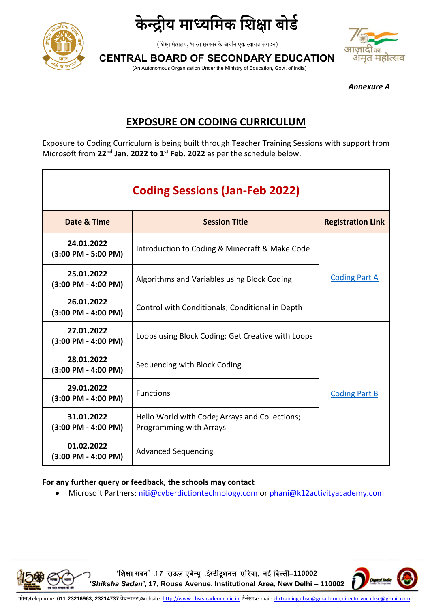





**CENTRAL BOARD OF SECONDARY EDUCATION**

(An Autonomous Organisation Under the Ministry of Education, Govt. of India)

*Annexure A*

# **EXPOSURE ON CODING CURRICULUM**

Exposure to Coding Curriculum is being built through Teacher Training Sessions with support from Microsoft from **22nd Jan. 2022 to 1st Feb. 2022** as per the schedule below.

| <b>Coding Sessions (Jan-Feb 2022)</b>               |                                                                           |                          |  |
|-----------------------------------------------------|---------------------------------------------------------------------------|--------------------------|--|
| Date & Time                                         | <b>Session Title</b>                                                      | <b>Registration Link</b> |  |
| 24.01.2022<br>$(3:00$ PM - 5:00 PM)                 | Introduction to Coding & Minecraft & Make Code                            |                          |  |
| 25.01.2022<br>$(3:00$ PM - 4:00 PM)                 | Algorithms and Variables using Block Coding                               | <b>Coding Part A</b>     |  |
| 26.01.2022<br>$(3:00 \text{ PM} - 4:00 \text{ PM})$ | Control with Conditionals; Conditional in Depth                           |                          |  |
| 27.01.2022<br>$(3:00 \text{ PM} - 4:00 \text{ PM})$ | Loops using Block Coding; Get Creative with Loops                         |                          |  |
| 28.01.2022<br>$(3:00$ PM - 4:00 PM)                 | Sequencing with Block Coding                                              |                          |  |
| 29.01.2022<br>$(3:00 \text{ PM} - 4:00 \text{ PM})$ | <b>Functions</b>                                                          | <b>Coding Part B</b>     |  |
| 31.01.2022<br>$(3:00 \text{ PM} - 4:00 \text{ PM})$ | Hello World with Code; Arrays and Collections;<br>Programming with Arrays |                          |  |
| 01.02.2022<br>$(3:00$ PM - 4:00 PM)                 | <b>Advanced Sequencing</b>                                                |                          |  |

#### **For any further query or feedback, the schools may contact**

■ Microsoft Partners[: niti@cyberdictiontechnology.com](mailto:niti@cyberdictiontechnology.com) or [phani@k12activityacademy.com](mailto:phani@k12activityacademy.com)

**'**शिक्षा सदन**' ,1 7** राऊज़ एवेन्यू **,**इंस्टीटूिनल एररया**,** नई ददल्ली–**110002**  *'Shiksha Sadan'***, 17, Rouse Avenue, Institutional Area, New Delhi – 110002**

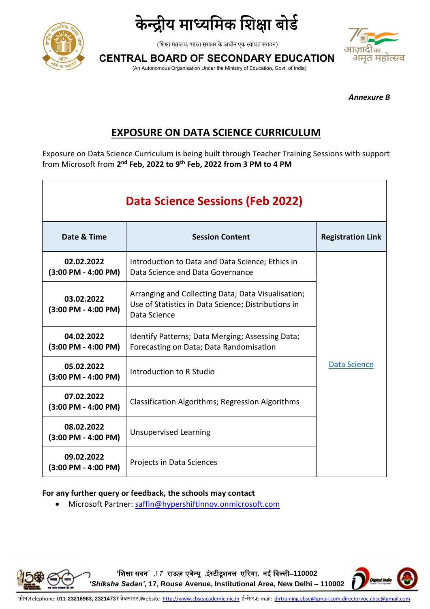



**CENTRAL BOARD OF SECONDARY EDUCATION**

(An Autonomous Organisation Under the Ministry of Education, Govt. of India)

*Annexure B*

# **EXPOSURE ON DATA SCIENCE CURRICULUM**

Exposure on Data Science Curriculum is being built through Teacher Training Sessions with support from Microsoft from **2 nd Feb, 2022 to 9th Feb, 2022 from 3 PM to 4 PM**

| <b>Data Science Sessions (Feb 2022)</b>             |                                                                                                                           |                          |  |
|-----------------------------------------------------|---------------------------------------------------------------------------------------------------------------------------|--------------------------|--|
| Date & Time<br><b>Session Content</b>               |                                                                                                                           | <b>Registration Link</b> |  |
| 02.02.2022<br>$(3:00 \text{ PM} - 4:00 \text{ PM})$ | Introduction to Data and Data Science; Ethics in<br>Data Science and Data Governance                                      |                          |  |
| 03.02.2022<br>(3:00 PM - 4:00 PM)                   | Arranging and Collecting Data; Data Visualisation;<br>Use of Statistics in Data Science; Distributions in<br>Data Science |                          |  |
| 04.02.2022<br>(3:00 PM - 4:00 PM)                   | Identify Patterns; Data Merging; Assessing Data;<br>Forecasting on Data; Data Randomisation                               |                          |  |
| 05.02.2022<br>$(3:00 \text{ PM} - 4:00 \text{ PM})$ | Introduction to R Studio                                                                                                  | Data Science             |  |
| 07.02.2022<br>(3:00 PM - 4:00 PM)                   | Classification Algorithms; Regression Algorithms                                                                          |                          |  |
| 08.02.2022<br>(3:00 PM - 4:00 PM)                   | <b>Unsupervised Learning</b>                                                                                              |                          |  |
| 09.02.2022<br>(3:00 PM - 4:00 PM)                   | Projects in Data Sciences                                                                                                 |                          |  |

### **For any further query or feedback, the schools may contact**

• Microsoft Partner: [saffin@hypershiftinnov.onmicrosoft.com](mailto:saffin@hypershiftinnov.onmicrosoft.com)



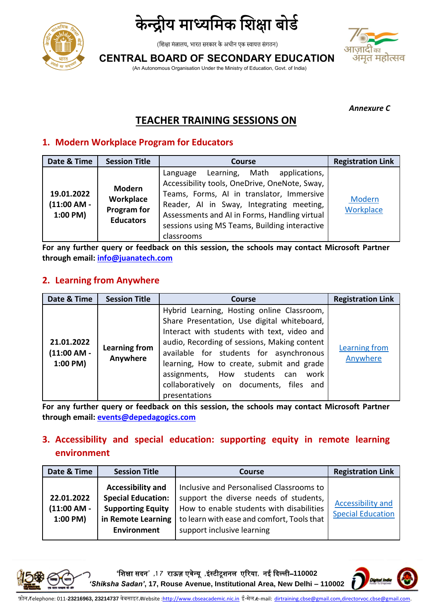



भमृत महोत्सव

**CENTRAL BOARD OF SECONDARY EDUCATION**

(An Autonomous Organisation Under the Ministry of Education, Govt. of India)

*Annexure C*

# **TEACHER TRAINING SESSIONS ON**

# **1. Modern Workplace Program for Educators**

| Date & Time                             | <b>Session Title</b>                                          | <b>Course</b>                                                                                                                                                                                                                                                                                      | <b>Registration Link</b> |
|-----------------------------------------|---------------------------------------------------------------|----------------------------------------------------------------------------------------------------------------------------------------------------------------------------------------------------------------------------------------------------------------------------------------------------|--------------------------|
| 19.01.2022<br>(11:00 AM -<br>$1:00$ PM) | <b>Modern</b><br>Workplace<br>Program for<br><b>Educators</b> | Learning, Math applications,<br>Language<br>Accessibility tools, OneDrive, OneNote, Sway,<br>Teams, Forms, AI in translator, Immersive<br>Reader, AI in Sway, Integrating meeting,<br>Assessments and AI in Forms, Handling virtual<br>sessions using MS Teams, Building interactive<br>classrooms | Modern<br>Workplace      |

**For any further query or feedback on this session, the schools may contact Microsoft Partner through email[: info@juanatech.com](mailto:info@juanatech.com)**

# **2. Learning from Anywhere**

| Date & Time                                  | <b>Session Title</b>             | <b>Course</b>                                                                                                                                                                                                                                                                                                                                                                            | <b>Registration Link</b>  |
|----------------------------------------------|----------------------------------|------------------------------------------------------------------------------------------------------------------------------------------------------------------------------------------------------------------------------------------------------------------------------------------------------------------------------------------------------------------------------------------|---------------------------|
| 21.01.2022<br>$(11:00 AM -$<br>$1:00$ PM $)$ | <b>Learning from</b><br>Anywhere | Hybrid Learning, Hosting online Classroom,<br>Share Presentation, Use digital whiteboard,<br>Interact with students with text, video and<br>audio, Recording of sessions, Making content<br>available for students for asynchronous<br>learning, How to create, submit and grade<br>assignments, How students can<br>work<br>collaboratively on documents, files<br>and<br>presentations | Learning from<br>Anywhere |

**For any further query or feedback on this session, the schools may contact Microsoft Partner through email[: events@depedagogics.com](mailto:events@depedagogics.com)**

# **3. Accessibility and special education: supporting equity in remote learning environment**

| Date & Time                           | <b>Session Title</b>                                                                                                          | <b>Course</b>                                                                                                                                                                                              | <b>Registration Link</b>                      |
|---------------------------------------|-------------------------------------------------------------------------------------------------------------------------------|------------------------------------------------------------------------------------------------------------------------------------------------------------------------------------------------------------|-----------------------------------------------|
| 22.01.2022<br>(11:00 AM -<br>1:00 PM) | <b>Accessibility and</b><br><b>Special Education:</b><br><b>Supporting Equity</b><br>in Remote Learning<br><b>Environment</b> | Inclusive and Personalised Classrooms to<br>support the diverse needs of students,<br>How to enable students with disabilities<br>to learn with ease and comfort, Tools that<br>support inclusive learning | Accessibility and<br><b>Special Education</b> |



**'**शिक्षा सदन**' ,1 7** राऊज़ एवेन्यू **,**इंस्टीटूिनल एररया**,** नई ददल्ली–**110002**  *'Shiksha Sadan'***, 17, Rouse Avenue, Institutional Area, New Delhi – 110002**